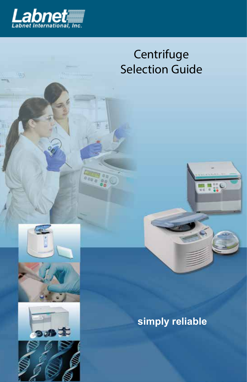

1416

# **Centrifuge** Selection Guide



 $\frac{1}{100}$ 





**simply reliable**

 $\frac{1}{2}$  or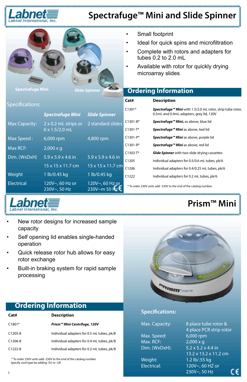

# **Spectrafuge™ Mini and Slide Spinner**

| <b>Spectrafuge Mini</b><br><b>Slide Spinner</b> |                                 |                                 | Small footprint<br>Ideal for quick spins and microfiltration<br>Complete with rotors and adapters for<br>tubes $0.2$ to $2.0$ mL<br>Available with rotor for quickly drying<br>microarray slides<br><b>Ordering Information</b> |                                                                                                                    |  |
|-------------------------------------------------|---------------------------------|---------------------------------|---------------------------------------------------------------------------------------------------------------------------------------------------------------------------------------------------------------------------------|--------------------------------------------------------------------------------------------------------------------|--|
| <b>Specifications:</b>                          |                                 |                                 | Cat#                                                                                                                                                                                                                            | <b>Description</b>                                                                                                 |  |
|                                                 | <b>Spectrafuge Mini</b>         | <b>Slide Spinner</b>            | $C1301*$                                                                                                                                                                                                                        | Spectrafuge <sup>™</sup> Mini with 1.5/2.0 mL rotor, strip tube rotor,<br>0.5mL and 0.4mL adapters, grey lid, 120V |  |
| <b>Max Capacity:</b>                            | $2 \times 0.2$ mL strips or     | 2 standard slides               | $C1301 - B*$                                                                                                                                                                                                                    | Spectrafuge <sup>™</sup> Mini, as above, blue lid                                                                  |  |
|                                                 | $6 \times 1.5/2.0$ mL           |                                 | $C1301-T*$                                                                                                                                                                                                                      | Spectrafuge <sup>™</sup> Mini as above, teal lid                                                                   |  |
| Max Speed:                                      | 6,000 rpm                       | 4,800 rpm                       | $C1301-P*$                                                                                                                                                                                                                      | Spectrafuge <sup>™</sup> Mini as above, purple lid                                                                 |  |
| Max RCF:                                        | $2,000 \times q$                |                                 | $C1301 - R*$                                                                                                                                                                                                                    | Spectrafuge <sup>™</sup> Mini as above, red lid                                                                    |  |
| Dim. (WxDxH)                                    | $5.9 \times 5.9 \times 4.6$ in  | $5.9 \times 5.9 \times 4.6$ in  | $C1303-T*$                                                                                                                                                                                                                      | <b>Slide Spinner</b> with two slide drying cassettes                                                               |  |
|                                                 |                                 |                                 | C1205                                                                                                                                                                                                                           | Individual adapters for 0.5/0.6 mL tubes, pk/6                                                                     |  |
|                                                 | 15 x 15 x 11.7 cm               | $15 \times 15 \times 11.7$ cm   | C1206                                                                                                                                                                                                                           | Individual adapters for 0.4/0.25 mL tubes, pk/6                                                                    |  |
| Weight                                          | 1 lb/0.45 kg                    | 1 lb/0.45 kg                    | C1222                                                                                                                                                                                                                           | Individual adapters for 0.2 mL tubes, pk/6                                                                         |  |
| <b>Electrical</b>                               | 120V~, 60 Hz or<br>230V~, 50 Hz | 120V~, 60 Hz or<br>230V~m 50 Hz |                                                                                                                                                                                                                                 | * To order 230V units add -230V to the end of the catalog number.                                                  |  |



- New rotor designs for increased sample capacity
- Self opening lid enables single-handed operation
- Quick release rotor hub allows for easy rotor exchange
- Built-in braking system for rapid sample processing



#### **Specifications:**

Max. Speed: 6,000 rpm Max. RCF: 2,000 x g

Max. Capacity: 8 place tube rotor & 4 place PCR strip rotor Dim. (WxDxH): 5.2 x 5.2 x 4.4 in 13.2 x 13.2 x 11.2 cm Weight: 1.2 lb/.55 kg Electrical: 120V~, 60 HZ or C€ 230V~, 50 Hz

**Prism™ Mini**

#### **Ordering Information**

| Cat#        | <b>Description</b>                         |
|-------------|--------------------------------------------|
| $C1801*$    | Prism™ Mini Centrifuge, 120V               |
| $C1205-8$   | Individual adapters for 0.5 mL tubes, pk/8 |
| $C1206-8$   | Individual adapters for 0.4 mL tubes, pk/8 |
| $C1222 - 8$ | Individual adapters for 0.2 mL tubes, pk/8 |

 \* To order 230V units add -230V to the end of the catalog number. Specify cord type by adding -EU or -UK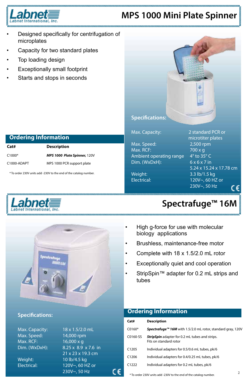

## **MPS 1000 Mini Plate Spinner**

- Designed specifically for centrifugation of microplates
- Capacity for two standard plates
- Top loading design
- **Exceptionally small footprint**
- Starts and stops in seconds



Max. Speed: 2,500 rpm Max. RCF: 700 x g Ambient operating range  $4^\circ$  to 35 $^\circ$  C Dim. (WxDxH): 6 x 6 x 7 in

Max. Capacity: 2 standard PCR or microtiter plates 5.24 x 15.24 x 17.78 cm Weight: 3.3 lb/1.5 kg Electrical: 120V~, 60 HZ or 230V~, 50 Hz C€

# **Spectrafuge™ 16M**

- High g-force for use with molecular biology applications
- Brushless, maintenance-free motor
- Complete with  $18 \times 1.5/2.0$  mL rotor
- Exceptionally quiet and cool operation
- StripSpin™ adapter for 0.2 mL strips and tubes

#### C1000\* *MPS 1000 Plate Spinner,* 120V C1000-ADAPT MPS 1000 PCR support plate \* To order 230V units add -230V to the end of the catalog number.

**Cat# Description**

 **Ordering Information**





#### **Specifications:**

Max. Speed: 14,000 rpm Max. RCF: 16,000 x g

Max. Capacity: 18 x 1.5/2.0 mL Dim. (WxDxH): 8.25 x 8.9 x 7.6 in 21 x 23 x 19.3 cm Weight: 10 lb/4.5 kg Electrical: 120V~, 60 HZ or 230V~, 50 Hz

C€

#### **Ordering Information**

| Cat#     | <b>Description</b>                                                       |
|----------|--------------------------------------------------------------------------|
| $C0160*$ | Spectrafuge™ 16M with 1.5/2.0 mL rotor, standard gray, 120V              |
| C0160-SS | StripSpin adapter for 0.2 mL tubes and strips.<br>Fits on standard rotor |
| C1205    | Individual adapters for 0.5/0.6 mL tubes, pk/6                           |
| C1206    | Individual adapters for 0.4/0.25 mL tubes, pk/6                          |
| C1222    | Individual adapters for 0.2 mL tubes, pk/6                               |
|          |                                                                          |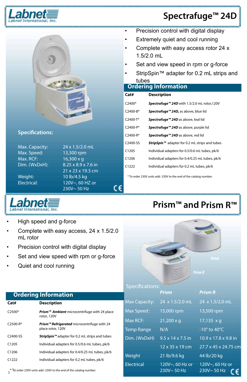

# **Spectrafuge™ 24D**



#### **Specifications:**

Max. Speed: 13,300 rpm Max. RCF: 16,300 x g



C€

- **Precision control with digital display**
- • Extremely quiet and cool running
- Complete with easy access rotor 24 x 1.5/2.0 mL
- Set and view speed in rpm or g-force
- StripSpin™ adapter for 0.2 mL strips and tubes

#### **Ordering Information**

| Cat#                  | <b>Description</b>                                         |
|-----------------------|------------------------------------------------------------|
| $C2400*$              | Spectrafuge™ 24D with 1.5/2.0 mL rotor,120V                |
| $C$ 2400-B*           | Spectrafuge <sup>™</sup> 24D, as above, blue lid           |
| $C$ 2400-T*           | Spectrafuge <sup>™</sup> 24D as above, teal lid            |
| $C$ 2400-P*           | Spectrafuge <sup>™</sup> 24D as above, purple lid          |
| $C$ 2400-R*           | Spectrafuae™ 24D as above, red lid                         |
| C <sub>2400</sub> -SS | StripSpin <sup>™</sup> adapter for 0.2 mL strips and tubes |
| C1205                 | Individual adapters for 0.5/0.6 mL tubes, pk/6             |
| C1206                 | Individual adapters for 0.4/0.25 mL tubes, pk/6            |
| C1222                 | Individual adapters for 0.2 mL tubes, pk/6                 |
|                       |                                                            |

\* To order 230V units add -230V to the end of the catalog number.



- High speed and g-force
- Complete with easy access, 24 x 1.5/2.0 mL rotor
- Precision control with digital display
- Set and view speed with rpm or g-force
- Quiet and cool running

# **Prism™ and Prism R™**

#### Specifications:

*Prism R*

| <b>Ordering Information</b>                                                  |                                                                  |                      | <b>Prism</b>                  | <b>Prism R</b>                   |
|------------------------------------------------------------------------------|------------------------------------------------------------------|----------------------|-------------------------------|----------------------------------|
| Cat#                                                                         | <b>Description</b>                                               | <b>Max Capacity:</b> | 24 x 1.5/2.0 mL               | 24 x 1.5/2.0 mL                  |
| C2500*                                                                       | Prism <sup>™</sup> Ambient microcentrifuge with 24 place         | Max Speed:           | 15,000 rpm                    | 13,500 rpm                       |
|                                                                              | rotor, 120V                                                      | Max RCF:             | $21,200 \times q$             | $17,135 \times q$                |
| C2500-R*                                                                     | Prism™ Refrigerated microcentrifuge with 24<br>place rotor, 120V | <b>Temp Range</b>    | N/A                           | $-10^{\circ}$ to 40 $^{\circ}$ C |
| C2400-SS                                                                     | StripSpin <sup>™</sup> adapter for 0.2 mL strips and tubes       | Dim. (WxDxH)         | $9.5 \times 14 \times 7.5$ in | $10.9 \times 17.8 \times 9.8$ in |
| C1205                                                                        | Individual adapters for 0.5/0.6 mL tubes, pk/6                   |                      | 12 x 35 x 19 cm               | 27.7 x 45 x 24.75 cm             |
| C1206                                                                        | Individual adapters for 0.4/0.25 mL tubes, pk/6                  | Weight               | 21 lb/9.6 kg                  | 44 lb/20 kg                      |
| C1222                                                                        | Individual adapters for 0.2 mL tubes, pk/6                       | Electrical           | 120V~, 60 Hz or               | 120V~, 60 Hz or                  |
| <sup>*</sup> To order 230V units add -230V to the end of the catalog number. |                                                                  |                      | 230V~50 Hz                    | 230V~50 Hz                       |

**Cat# Description**

C2400-SS *StripSpin™* adapter for 0.2 mL strips and tubes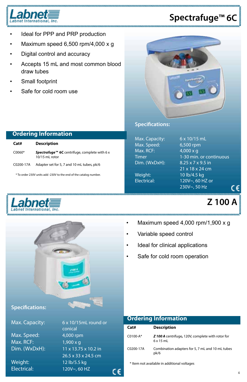

# **Spectrafuge™ 6C**

- Ideal for PPP and PRP production
- Maximum speed  $6,500$  rpm/4,000 x g
- Digital control and accuracy
- Accepts 15 mL and most common blood draw tubes
- Small footprint
- Safe for cold room use



#### **Specifications:**

Max. Speed: 6,500 rpm Max. RCF: 4,000 x g Dim. (WxDxH): 8.25 x 7 x 9.5 in

Max. Capacity: 6 x 10/15 mL Timer 1-30 min. or continuous 21 x 18 x 24 cm Weight: 10 lb/4.5 kg Electrical: 120V~, 60 HZ or 230V~, 50 Hz

# **Z 100 A**

c٤

- Maximum speed  $4,000$  rpm/1,900 x g
- • Variable speed control
- • Ideal for clinical applications
- Safe for cold room operation

#### **Specifications:**

Max. Speed: 4,000 rpm Max. RCF: 1,900 x g

Max. Capacity: 6 x 10/15mL round or conical Dim. (WxDxH): 11 x 13.75 x 10.2 in 26.5 x 33 x 24.5 cm Weight: 12 lb/5.5 kg Electrical: 120V~, 60 HZ

c٤

#### **Ordering Information**

| Cat#       | <b>Description</b>                                                    |
|------------|-----------------------------------------------------------------------|
| $C0100-A*$ | Z 100 A centrifuge, 120V, complete with rotor for<br>$6 \times 15$ mL |
| C0200-17A  | Combination adapters for 5, 7 mL and 10 mL tubes<br>pk/6              |

\* Item not available in additional voltages

#### **Ordering Information Cat# Description**

| ∟aτ#      | Description                                                            |
|-----------|------------------------------------------------------------------------|
| C0060*    | <b>Spectrafuge™ 6C</b> centrifuge, complete with 6 x<br>10/15 mL rotor |
| C0200-17A | Adapter set for 5, 7 and 10 mL tubes, pk/6                             |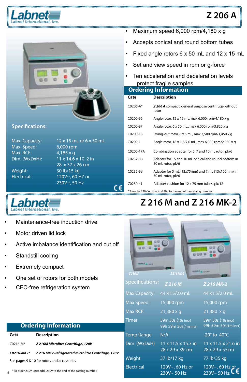

# **Z 206 A**



#### **Specifications:**

Max. Speed: 6,000 rpm Max. RCF: 4,185 x g

Max. Capacity: 12 x 15 mL or 6 x 50 mL Dim. (WxDxH): 11 x 14.6 x 10 .2 in 28 x 37 x 26 cm Weight: 30 lb/15 kg Electrical: 120V~, 60 HZ or 230V~, 50 Hz

C٤



- Maintenance-free induction drive
- Motor driven lid lock
- Active imbalance identification and cut off
- Standstill cooling
- **Extremely compact**
- One set of rotors for both models
- CFC-free refrigeration system



 **Ordering Information**

rotor

**Cat# Description**

protect fragile samples

50 mL rotor, pk/6

• Maximum speed  $6,000$  rpm/4,180 x g

Accepts conical and round bottom tubes

Set and view speed in rpm or g-force Ten acceleration and deceleration levels

C0206-A\* *Z 206 A* compact, general purpose centrifuge without

C0200-96 Angle rotor, 12 x 15 mL, max 6,000 rpm/4,180 x g C0200-97 Angle rotor, 6 x 50 mL,, max 6,000 rpm/3,820 x g C0200-18 Swing-out rotor, 6 x 5 mL, max 3,500 rpm/1,450 x g C0200-1 Angle rotor, 18 x 1.5/2.0 mL, max 6,000 rpm/2,930 x g C0200-17A Combination adapter for 5, 7 and 10 mL rotor, pk/6 C0232-8B Adapter for 15 and 10 mL conical and round bottom in

Fixed angle rotors  $6 \times 50$  mL and  $12 \times 15$  mL

| <b>HORAY ALLINE</b><br>Z216M | Z 216 MK-2                                         | <b>PER A LUCKS</b>                                |
|------------------------------|----------------------------------------------------|---------------------------------------------------|
| <b>Specifications:</b>       | Z 216M                                             | Z 216 MK-2                                        |
| <b>Max Capacity:</b>         | 44 x1.5/2.0 mL                                     | 44 x1.5/2.0 mL                                    |
| Max Speed:                   | 15,000 rpm                                         | 15,000 rpm                                        |
| Max RCF:                     | $21,380 \times q$                                  | $21,380 \times q$                                 |
| <b>Timer</b>                 | 59m 50s (10s incr)<br>99h 59m 50s(1m incr)         | 59m 50s (10s incr)<br>99h 59m 50s(1m incr)        |
| <b>Temp Range</b>            | N/A                                                | $-20^\circ$ to 40 $^{\circ}$ C                    |
| Dim. (WxDxH)                 | $11 \times 11.5 \times 15.3$ in<br>28 x 29 x 39 cm | $11 \times 11.5 \times 21.6$ in<br>28 x 29 x 55cm |
| Weight                       | 37 lb/17 kg                                        | 77 lb/35 kg                                       |
| <b>Electrical</b>            | 120V~, 60 Hz or<br>230V~50 Hz                      | 120V~, 60 Hz or<br>$230V - 50 Hz$                 |

#### **Ordering Information**

**Cat# Description** C0216-M\* *Z 216M Microlitre Centrifuge, 120V C0216-MK2\* Z 216 MK 2 Refrigerated microlitre Centrifuge, 120V* See pages 9 & 10 for rotors and accessories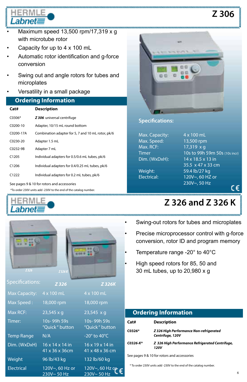# Labnet

- $Maximum speed 13,500 rpm/17,319 x g$ with microtube rotor
- Capacity for up to 4 x 100 mL
- Automatic rotor identification and g-force conversion
- Swing out and angle rotors for tubes and microplates
- Versatility in a small package

#### **Ordering Information**

| Cat#              | <b>Description</b>                                 |
|-------------------|----------------------------------------------------|
| $C0306*$          | Z 306 universal centrifuge                         |
| $C0200-10$        | Adapter, 10/15 mL round bottom                     |
| C0200-17A         | Combination adapter for 5, 7 and 10 mL rotor, pk/6 |
| $C0230-20$        | Adapter 1.5 mL                                     |
| C0232-9B          | Adapter 7 mL                                       |
| C1205             | Individual adapters for 0.5/0.6 mL tubes, pk/6     |
| C <sub>1206</sub> | Individual adapters for 0.4/0.25 mL tubes, pk/6    |
| C1222             | Individual adapters for 0.2 mL tubes, pk/6         |
|                   |                                                    |

See pages 9 & 10 for rotors and accessories

\*To order 230V units add -230V to the end of the catalog number.







#### **Specifications:**

Max. Capacity: 4 x 100 mL Max. Speed: 13,500 rpm Max. RCF: 17,319 x g Dim. (WxDxH): 14 x 18.5 x 13 in

Timer 10s to 99h 59m 50s (10s incr) 35.5 x 47 x 33 cm Weight: 59.4 lb/27 kg Electrical: 120V~, 60 HZ or 230V~, 50 Hz C€

**Z 306**

# **Z 326 and Z 326 K**

- Swing-out rotors for tubes and microplates
- Precise microprocessor control with g-force conversion, rotor ID and program memory
	- Temperature range -20 $^{\circ}$  to 40 $^{\circ}$ C
- High speed rotors for 85, 50 and 30 mL tubes, up to 20,980 x g

| <b>Ordering Information</b>                 |                                                             |
|---------------------------------------------|-------------------------------------------------------------|
| Cat#                                        | <b>Description</b>                                          |
| <b>C0326*</b>                               | Z 326 High Performance Non-refrigerated<br>Centrifuge, 120V |
| C0326-K*                                    | Z 326 High Performance Refrigerated Centrifuge,<br>120V     |
| See pages 9 & 10 for rotors and accessories |                                                             |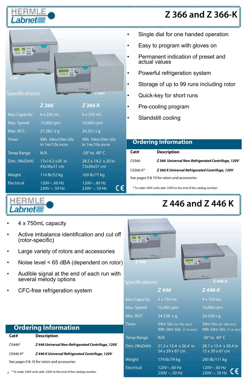

# **Z 366 and Z 366-K**

| Z 366<br>Specifications: |                                    | Z 366K                             |                |
|--------------------------|------------------------------------|------------------------------------|----------------|
|                          | Z 366                              | Z 366 K                            |                |
| Max Capacity: 6 x 250 mL |                                    | 6 x 250 mL                         |                |
| Max. Speed:              | 15,000 rpm                         | 16,000 rpm                         |                |
| Max .RCF:                | $21,382 \times q$                  | $24,321 \times q$                  |                |
| <b>Timer</b>             | 99h 59m/59m 50s<br>in 1m/10s incre | 99h 59m/59m 50s<br>in 1m/10s incre | Or             |
| <b>Temp Range</b>        | N/A                                | -20 $^{\circ}$ to 40 $^{\circ}$ C  | Cat#           |
| Dim. (WxDxH)             | 17x14.2 x20 in                     | 28.5 x 14.2 x 20 in                | C0366          |
|                          | 43x36x51 cm                        | 72x36x51 cm                        | C0366          |
| Weight                   | 114 lb/52 kg                       | 169 lb/77 kg                       | See p          |
| <b>Electrical</b>        | 120V~, 60 Hz<br>$230V \sim 50 Hz$  | 120V~, 60 Hz<br>$230V \sim 50 Hz$  | $*$ To $\circ$ |

- Single dial for one handed operation
- Easy to program with gloves on
- Permanent indication of preset and<br>actual values
- Powerful refrigeration system
- Storage of up to 99 runs including rotor
- Quick-key for short runs
- Pre-cooling program
- Standstill cooling

| <b>Ordering Information</b>                 |                                                   |  |
|---------------------------------------------|---------------------------------------------------|--|
| Cat#                                        | <b>Description</b>                                |  |
| C0366                                       | Z 366 Universal Non-Refrigerated Centrifuge, 120V |  |
| $C0366-K*$                                  | Z 366 K Universal Refrigerated Centrifuge, 120V   |  |
| See pages 9 & 10 for rotors and accessories |                                                   |  |

order 230V units add -230V to the end of the catalog number.

# **Z 446 and Z 446 K**

- 4 x 750mL capacity
- Active imbalance identification and cut off (rotor-specific)
- Large variety of rotors and accessories
- Noise level  $<$  65 dBA (dependent on rotor)
- Audible signal at the end of each run with several melody options
- CFC-free refrigeration system

| Z 446<br>Z 446 K<br>Specifications: |                                                      |                                                 |  |  |  |  |  |
|-------------------------------------|------------------------------------------------------|-------------------------------------------------|--|--|--|--|--|
|                                     | Z446                                                 | Z446K                                           |  |  |  |  |  |
| Max Capacity:                       | 4 x 750 mL                                           | 4 x 750 mL                                      |  |  |  |  |  |
| Max. Speed: 16,000 rpm              |                                                      | 16,000 rpm                                      |  |  |  |  |  |
| Max .RCF:                           | 24,328 x q                                           | $24,328 \times q$                               |  |  |  |  |  |
| <b>Timer</b>                        | 59m 50s (in 10s incr)<br>99h 59m 50s (1 m incr)      | 59m 50s (in 10s incr)<br>99h 59m 50s (1 m incr) |  |  |  |  |  |
| <b>Temp Range</b>                   | N/A                                                  | -20 $^{\circ}$ to 40 $^{\circ}$ C               |  |  |  |  |  |
| Dim. (WxDxH)                        | $21.3 \times 15.4 \times 26.4$ in<br>54 x 39 x 67 cm | 28.7 x 15.4 x 26.4 in<br>73 x 39 x 67 cm        |  |  |  |  |  |
| Weight                              | 174 lb/79 kg                                         | 245 lb/111 kg                                   |  |  |  |  |  |
| <b>Electrical</b>                   | 120V~, 60 Hz<br>$230V \sim 50 Hz$                    | 120V~, 60 Hz<br>230V ~, 50 Hz                   |  |  |  |  |  |

#### **Ordering Information Cat# Description** C0446\* *Z 446 Universal Non-Refrigerated Centrifuge, 120V* C0446-K\* *Z 446 K Universal Refrigerated Centrifuge, 120V* See pages 9 & 10 for rotors and accessories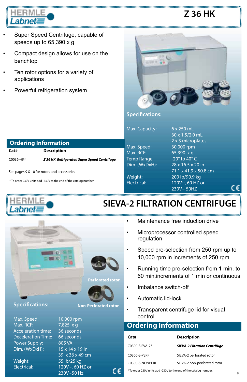

# **Z 36 HK**

- Super Speed Centrifuge, capable of speeds up to 65,390 x g
- Compact design allows for use on the benchtop
- Ten rotor options for a variety of applications
- Powerful refrigeration system



#### **Specifications:**

Max. Capacity: 6 x 250 mL

Max. Speed: 30,000 rpm Max. RCF: 65,390 x g Temp Range  $-20^\circ$  to 40 $^\circ$  C

 30 x 1.5/2.0 mL 2 x 3 microplates Dim. (WxDxH): 28 x 16.5 x 20 in 71.1 x 41.9 x 50.8 cm Weight: 200 lb/90.9 kg Electrical: 120V~, 60 HZ or 230V~ 50HZ

 **Ordering Information Cat# Description** C0036-HK\* *Z 36 HK Refrigerated Super Speed Centrifuge* See pages 9 & 10 for rotors and accessories

\* To order 230V units add -230V to the end of the catalog number.



### Ĭ **SIEVA-2 FILTRATION CENTRIFUGE**



#### **Specifications:**

Max. Speed: 10,000 rpm Max. RCF: 7,825 x g Acceleration time: 36 seconds Deceleration Time: 66 seconds Power Supply: 805 VA Dim. (WxDxH): 15 x 14 x 19 in



**Non-Perforated rotor**

c٤

230V~50 Hz

- Maintenance free induction drive
	- Microprocessor controlled speed regulation
	- • Speed pre-selection from 250 rpm up to 10,000 rpm in increments of 250 rpm
	- • Running time pre-selection from 1 min. to 60 min.increments of 1 min or continuous
	- • Imbalance switch-off
	- • Automatic lid-lock
	- • Transparent centrifuge lid for visual control

### **Ordering Information**

| Cat#            | <b>Description</b>                   |  |  |  |  |
|-----------------|--------------------------------------|--|--|--|--|
| C0300-SIEVA-2*  | <b>SIEVA-2 Filtration Centrifuge</b> |  |  |  |  |
| C0300-S-PERF    | SIEVA-2 perforated rotor             |  |  |  |  |
| C0300-S-NONPERF | SIEVA-2 non-perforated rotor         |  |  |  |  |

\* To order 230V units add -230V to the end of the catalog number.

C€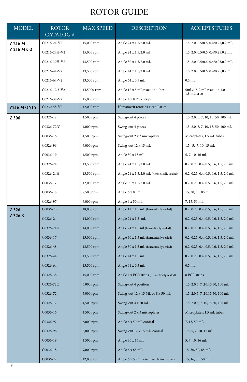### ROTOR GUIDE

| <b>MODEL</b> | <b>ROTOR</b><br>CATALOG# | <b>MAX SPEED</b> | <b>DESCRIPTION</b>                          | <b>ACCEPTS TUBES</b>                                       |  |  |
|--------------|--------------------------|------------------|---------------------------------------------|------------------------------------------------------------|--|--|
| Z 216 M      | C0216-24-V2              | 15,000 rpm       | Angle 24 x 1.5/2.0 mL                       | 1.5, 2.0, 0.5/0.6, 0.4/0.25,0.2 mL                         |  |  |
| Z 216 MK-2   | C0216-24H-V2             | 15,000 rpm       | Angle 24 x 1.5/2.0 ml                       | 1.5, 2.0, 0.5/0.6, 0.4/0.25,0.2 mL                         |  |  |
|              | C0216-30H-V2             | 13,500 rpm       | Angle 30 x 1.5/2.0 mL                       | 1.5, 2.0, 0.5/0.6, 0.4/0.25,0.2 mL                         |  |  |
|              | C0216-44-V2              | 13,500 rpm       | Angle 44 x 1.5/2.0 mL                       | 1.5, 2.0, 0.5/0.6, 0.4/0.25,0.2 mL                         |  |  |
|              | C0216-64-V2              | 13,500 rpm       | Angle 64 x 0.5 mL                           | $0.5$ mL                                                   |  |  |
|              | C0216-12.5-V2            | 14,5000 rpm      | Angle 12 x 5 mL reaction tubes              | 5mL, 1.5-2 mL reaction, 1.0,<br>1.8 mL cryo                |  |  |
|              | C0216-38-V2              | 15,000 rpm       | Angle 4 x 8 PCR strips                      |                                                            |  |  |
| Z216 M ONLY  | C0230-58-V2              | 12,000 rpm       | Hematocrit rotor 24 x capillaries           |                                                            |  |  |
| Z 306        | C0326-12                 | 4,500 rpm        | Swing-out 4 places                          | 1.5, 2.0, 5, 7, 10, 15, 50, 100 mL                         |  |  |
|              | C0326-72/C               | 4,000 rpm        | Swing-out 4 places                          | 1.5, 2.0, 5, 7, 10, 15, 50, 100 mL                         |  |  |
|              | C0036-16                 | 4,500 rpm        | Swing-out 2 x 3 microplates                 | Microplates, 1.5 mL tubes                                  |  |  |
|              | C0326-96                 | 6,000 rpm        | Swing-out 12 x 15 mL                        | 1.5, 5, 7, 10, 15 mL                                       |  |  |
|              | C0036-19                 | 4,500 rpm        | Angle 30 x 15 mL                            | 5, 7, 10, 16 mL                                            |  |  |
|              | C0326-24                 | 13,500 rpm       | Angle 24 x 1.5/2.0 mL                       | 0.2, 0.25, 0.4, 0.5, 0.6, 1.5, 2.0 mL                      |  |  |
|              | C0326-24H                | 13,500 rpm       | Angle 24 x 1.5/2.0 mL (hermetically sealed) | 0.2, 0.25, 0.4, 0.5, 0.6, 1.5, 2.0 mL                      |  |  |
|              | C0036-17                 | 12,000 rpm       | Angle 30 x 1.5/2.0 mL                       | 0.2, 0.25, 0.4, 0.5, 0.6, 1.5, 2.0 mL<br>15, 30, 50, 85 mL |  |  |
|              | C0036-18                 | 7,500 prm        | Angle 6 x 85 mL                             |                                                            |  |  |
|              | C0326-97                 | 6,000 rpm        | Angle 6 x 50 mL                             | 7, 15, 50 mL                                               |  |  |
| Z 326        | C0036-23                 | 18,000 rpm       | Angle 12 x 1.5 mL (hermetically sealed)     | 0.2, 0.25, 0.4, 0.5, 0.6, 1.5, 2.0 mL                      |  |  |
| Z 326 K      | C0326-24                 | 14,000 rpm       | Angle $24 \times 1.5$ mL                    | 0.2, 0.25, 0.4, 0.5, 0.6, 1.5, 2.0 mL                      |  |  |
|              | C0326-24H                | 14,000 rpm       | Angle 24 x 1.5 ml (hermetically sealed)     | 0.2, 0.25, 0.4, 0.5, 0.6, 1.5, 2.0 mL                      |  |  |
|              | C0036-17                 | 13,000 rpm       | Angle 30 x 1.5 mL (hermetically sealed)     | 0.2, 0.25, 0.4, 0.5, 0.6, 1.5, 2.0 mL                      |  |  |
|              | C0326-48                 | 13,500 rpm       | Angle 30 x 1.5 mL (hermetically sealed)     | 0.2, 0.25, 0.4, 0.5, 0.6, 1.5, 2.0 mL                      |  |  |
|              | C0326-44                 | 13,500 rpm       | Angle 44 x 1.5 mL                           | 0.2, 0.25, 0.4, 0.5, 0.6, 1.5, 2.0 mL                      |  |  |
|              | C0326-64                 | 13,500 rpm       | Angle 64 x 0.5 mL                           | $0.5$ mL                                                   |  |  |
|              | C0326-38                 | 15,000 rpm       | Angle 4 x PCR strips (hermetically sealed)  | 8 PCR strips                                               |  |  |
|              | C0326-72C                | 5,000 rpm        | Swing-out 4 position                        | 1.5, 2.0 5, 7, 10, 15, 50, 100 mL                          |  |  |
|              | C0326-72                 | 5,000 rpm        | Swing-out 12 x 15 ML or 8 x 50 mL           | 1.5, 2.0 5, 7, 10, 15, 50, 100 mL                          |  |  |
|              | C0326-12                 | 4,500 rpm        | Swing-out $4 \ge 50 \text{ mL}$             | $1.5,\,2.0$ 5, 7<br>,10,15,50, 100 mL                      |  |  |
|              | C0036-16                 | 4,500 rpm        | Swing-out 2 x 3 microplates                 | Microplates, 1.5 mL tubes                                  |  |  |
|              | C0326-97                 | 6,000 rpm        | Angle 6 x 50 mL conical                     | 7, 15, 50 mL                                               |  |  |
|              | C0326-96                 | 6,000 rpm        | Swing-out 12 x 15 mL conical                | 1.5, 5, 7, 10, 15 mL                                       |  |  |
|              | C0036-19                 | 4,500 rpm        | Angle 30 x 15 mL                            | 5, 7, 10, 16 mL                                            |  |  |
|              | C0036-18                 | 9,000 rpm        | Angle 6 x 85 mL                             | 15, 30, 50, 85 mL                                          |  |  |
|              | C0036-22<br>12,000 rpm   |                  | Angle 6 x 50 mL (for round bottom tubes)    | 15, 16, 30, 50 mL                                          |  |  |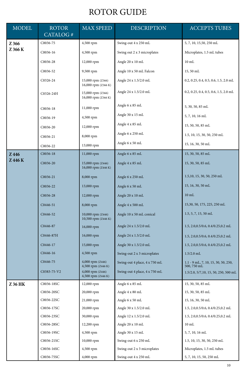## ROTOR GUIDE

| <b>MODEL</b> | <b>ROTOR</b><br>CATALOG# | <b>MAX SPEED</b>                         | <b>DESCRIPTION</b>            | <b>ACCEPTS TUBES</b>                               |  |  |  |
|--------------|--------------------------|------------------------------------------|-------------------------------|----------------------------------------------------|--|--|--|
| Z 366        | C0036-75                 | 4,500 rpm                                | Swing-out 4 x 250 mL          | 5, 7, 10, 15,50, 250 mL                            |  |  |  |
| Z 366 K      | C0036-16                 | 4,500 rpm                                | Swing out 2 x 3 microplates   | Microplates, 1.5 mL tubes                          |  |  |  |
|              | C0036-28                 | 12,000 rpm                               | Angle 20 x 10 mL              | $10 \text{ mL}$                                    |  |  |  |
|              | C0036-52                 | 9,500 rpm                                | Angle 10 x 50 mL Falcon       | 15,50 mL                                           |  |  |  |
|              | C0326-24                 | 15,000 rpm (Z366)<br>16,000 rpm (Z366 K) | Angle 24 x 1.5/2.0 mL         | 0.2, 0.25, 0.4, 0.5, 0.6, 1.5, 2.0 mL              |  |  |  |
|              | C0326-24H                | 15,000 rpm (Z366)<br>16,000 rpm (Z366 K) | Angle 24 x 1.5/2.0 mL         | 0.2, 0.25, 0.4, 0.5, 0.6, 1.5, 2.0 mL              |  |  |  |
|              | C0036-18                 | 11,000 rpm                               | Angle 6 x 85 mL               | 5, 30, 50, 85 mL                                   |  |  |  |
|              | C0036-19                 | 4,500 rpm                                | Angle 30 x 15 mL              | 5, 7, 10, 16 mL                                    |  |  |  |
|              | C0036-20                 | 12,000 rpm                               | Angle 4 x 85 mL               | 15, 50, 50, 85 mL                                  |  |  |  |
|              | C0036-21                 | 8,000 rpm                                | Angle 6 x 250 mL              | 1.5, 10, 15, 30, 50, 250 mL                        |  |  |  |
|              | C0036-22                 | 13,000 rpm                               | Angle 6 x 50 mL               | 15, 16, 30, 50 mL                                  |  |  |  |
| Z446         | C0036-18                 | 11,000 rpm                               | Angle 6 x 85 mL               | 15, 30, 50, 85 mL                                  |  |  |  |
| Z 446 K      | C0036-20                 | 15,000 rpm (Z446)<br>16,000 rpm (Z446 K) | Angle 4 x 85 mL               | 15, 30, 50, 85 mL                                  |  |  |  |
|              | C0036-21                 | 8,000 rpm                                | Angle 6 x 250 mL              | 1.5, 10, 15, 30, 50, 250 mL                        |  |  |  |
|              | C0036-22                 | 13,000 rpm                               | Angle 6 x 50 mL               | 15, 16, 30, 50 mL                                  |  |  |  |
|              | C0036-28                 | 12,000 rpm                               | Angle 20 x 10 mL              | $10 \text{ mL}$                                    |  |  |  |
|              | C0446-51                 | 8,000 rpm                                | Angle 4 x 500 mL              | 15,30, 50, 175, 225, 250 mL                        |  |  |  |
|              | C0446-52                 | 10,000 rpm (Z446)<br>10,500 rpm (Z446 K) | Angle 10 x 50 mL conical      | 1.5, 5, 7, 15, 50 mL                               |  |  |  |
|              | C0446-87                 | 16,000 rpm                               | Angle 24 x 1.5/2.0 mL         | 1.5, 2.0, 0.5/0.6, 0.4/0.25, 0.2 mL                |  |  |  |
|              | C0446-87H                | 16,000 rpm                               | Angle 24 x 1.5/2.0 mL         | 1.5, 2.0, 0.5/0.6, 0.4/0.25, 0.2 mL                |  |  |  |
|              | C0446-17                 | 15,000 rpm                               | Angle 30 x 1.5/2.0 mL         | 1.5, 2.0, 0.5/0.6, 0.4/0.25, 0.2 mL                |  |  |  |
|              | C0446-16                 | 4,500 rpm                                | Swing-out 2 x 3 microplates   | $1.5/2.0$ mL                                       |  |  |  |
|              | C0446-75                 | 4,000 rpm (Z446)<br>4,500 rpm (Z446 K)   | Swing-out 4 place, 4 x 750 mL | 1.1 - 9 mL, 7, 10, 15, 30, 50, 250,<br>500, 750 mL |  |  |  |
|              | C0383-75-V2              | 4,000 rpm (Z446)<br>4,500 rpm (Z446 K)   | Swing-out 4 place, 4 x 750 mL | 1.5/2.0, 5/7, 10, 15, 50, 250, 500 mL              |  |  |  |
| Z 36 HK      | C0036-18SC               | 12,000 rpm                               | Angle 6 x 85 mL               | 15, 30, 50, 85 mL                                  |  |  |  |
|              | C0036-20SC               | 20,000 rpm                               | Angle 4 x 80 mL               | 15, 30, 50, 85 mL                                  |  |  |  |
|              | C0036-22SC               | 21,000 rpm                               | Angle 6 x 50 mL               | $15, 16, 30, 50 \mathrm{~mL}$                      |  |  |  |
|              | C0036-17SC               | 20,000 rpm                               | Angle 30 x 1.5/2.0 mL         | 1.5, 2.0, 0.5/0.6, 0.4/0.25, 0.2 mL                |  |  |  |
|              | C0036-23SC               | 30,000 rpm                               | Angle 12 x 1.5/2.0 mL         | 1.5, 2.0, 0.5/0.6, 0.4/0.25, 0.2 mL                |  |  |  |
|              | C0036-28SC               | 12,200 rpm                               | Angle 20 x 10 mL              | $10 \text{ mL}$                                    |  |  |  |
|              | C0036-19SC               | 4,500 rpm                                | Angle 30 x 15 mL              | 5, 7, 10, 16 mL                                    |  |  |  |
|              | C0036-21SC<br>10,000 rpm |                                          | Swing-out 6 x 250 mL          | 1.5, 10, 15, 30, 50, 250 mL                        |  |  |  |
|              | C0036-16SC               | 4,500 rpm                                | Swing-out 2 x 3 microplates   | Microplates, 1.5 mL tubes                          |  |  |  |
|              | C0036-75SC               | 4,000 rpm                                | Swing-out 4 x 250 mL          | 5, 7, 10, 15, 50, 250 mL                           |  |  |  |